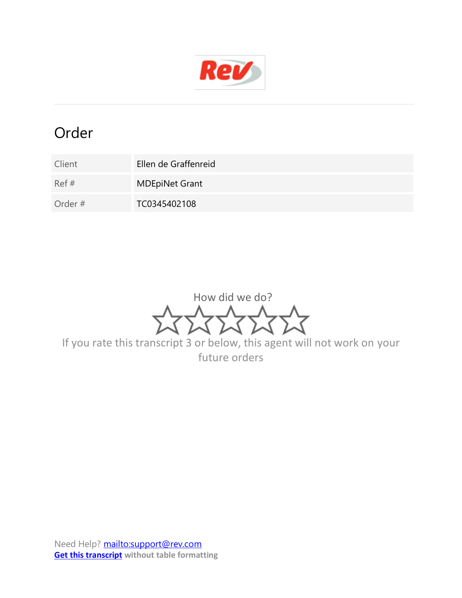

## Order

- Client Ellen de Graffenreid Ref # MDEpiNet Grant
- Order # TC0345402108

How did we do?

If you rate this transcript 3 or below, this agent will not work on your future orders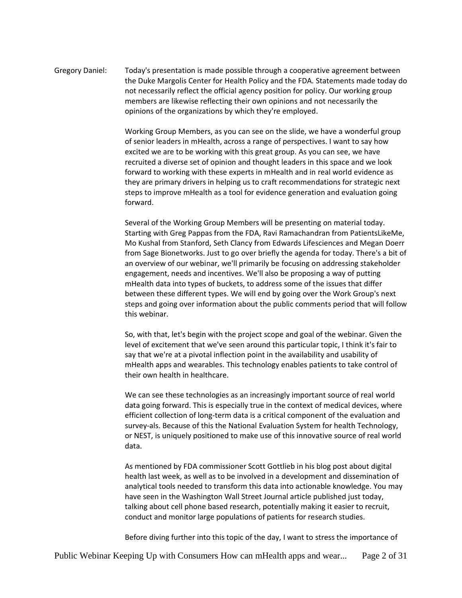Gregory Daniel: Today's presentation is made possible through a cooperative agreement between the Duke Margolis Center for Health Policy and the FDA. Statements made today do not necessarily reflect the official agency position for policy. Our working group members are likewise reflecting their own opinions and not necessarily the opinions of the organizations by which they're employed.

> Working Group Members, as you can see on the slide, we have a wonderful group of senior leaders in mHealth, across a range of perspectives. I want to say how excited we are to be working with this great group. As you can see, we have recruited a diverse set of opinion and thought leaders in this space and we look forward to working with these experts in mHealth and in real world evidence as they are primary drivers in helping us to craft recommendations for strategic next steps to improve mHealth as a tool for evidence generation and evaluation going forward.

Several of the Working Group Members will be presenting on material today. Starting with Greg Pappas from the FDA, Ravi Ramachandran from PatientsLikeMe, Mo Kushal from Stanford, Seth Clancy from Edwards Lifesciences and Megan Doerr from Sage Bionetworks. Just to go over briefly the agenda for today. There's a bit of an overview of our webinar, we'll primarily be focusing on addressing stakeholder engagement, needs and incentives. We'll also be proposing a way of putting mHealth data into types of buckets, to address some of the issues that differ between these different types. We will end by going over the Work Group's next steps and going over information about the public comments period that will follow this webinar.

So, with that, let's begin with the project scope and goal of the webinar. Given the level of excitement that we've seen around this particular topic, I think it's fair to say that we're at a pivotal inflection point in the availability and usability of mHealth apps and wearables. This technology enables patients to take control of their own health in healthcare.

We can see these technologies as an increasingly important source of real world data going forward. This is especially true in the context of medical devices, where efficient collection of long-term data is a critical component of the evaluation and survey-als. Because of this the National Evaluation System for health Technology, or NEST, is uniquely positioned to make use of this innovative source of real world data.

As mentioned by FDA commissioner Scott Gottlieb in his blog post about digital health last week, as well as to be involved in a development and dissemination of analytical tools needed to transform this data into actionable knowledge. You may have seen in the Washington Wall Street Journal article published just today, talking about cell phone based research, potentially making it easier to recruit, conduct and monitor large populations of patients for research studies.

Before diving further into this topic of the day, I want to stress the importance of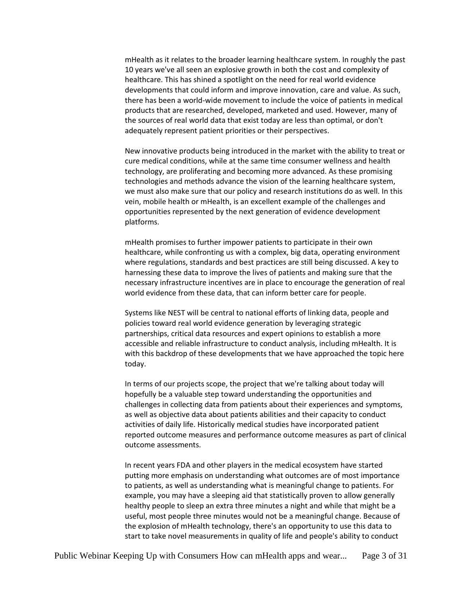mHealth as it relates to the broader learning healthcare system. In roughly the past 10 years we've all seen an explosive growth in both the cost and complexity of healthcare. This has shined a spotlight on the need for real world evidence developments that could inform and improve innovation, care and value. As such, there has been a world-wide movement to include the voice of patients in medical products that are researched, developed, marketed and used. However, many of the sources of real world data that exist today are less than optimal, or don't adequately represent patient priorities or their perspectives.

New innovative products being introduced in the market with the ability to treat or cure medical conditions, while at the same time consumer wellness and health technology, are proliferating and becoming more advanced. As these promising technologies and methods advance the vision of the learning healthcare system, we must also make sure that our policy and research institutions do as well. In this vein, mobile health or mHealth, is an excellent example of the challenges and opportunities represented by the next generation of evidence development platforms.

mHealth promises to further impower patients to participate in their own healthcare, while confronting us with a complex, big data, operating environment where regulations, standards and best practices are still being discussed. A key to harnessing these data to improve the lives of patients and making sure that the necessary infrastructure incentives are in place to encourage the generation of real world evidence from these data, that can inform better care for people.

Systems like NEST will be central to national efforts of linking data, people and policies toward real world evidence generation by leveraging strategic partnerships, critical data resources and expert opinions to establish a more accessible and reliable infrastructure to conduct analysis, including mHealth. It is with this backdrop of these developments that we have approached the topic here today.

In terms of our projects scope, the project that we're talking about today will hopefully be a valuable step toward understanding the opportunities and challenges in collecting data from patients about their experiences and symptoms, as well as objective data about patients abilities and their capacity to conduct activities of daily life. Historically medical studies have incorporated patient reported outcome measures and performance outcome measures as part of clinical outcome assessments.

In recent years FDA and other players in the medical ecosystem have started putting more emphasis on understanding what outcomes are of most importance to patients, as well as understanding what is meaningful change to patients. For example, you may have a sleeping aid that statistically proven to allow generally healthy people to sleep an extra three minutes a night and while that might be a useful, most people three minutes would not be a meaningful change. Because of the explosion of mHealth technology, there's an opportunity to use this data to start to take novel measurements in quality of life and people's ability to conduct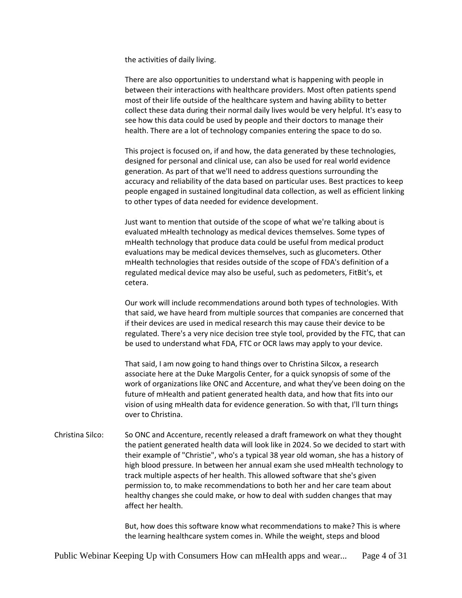the activities of daily living.

There are also opportunities to understand what is happening with people in between their interactions with healthcare providers. Most often patients spend most of their life outside of the healthcare system and having ability to better collect these data during their normal daily lives would be very helpful. It's easy to see how this data could be used by people and their doctors to manage their health. There are a lot of technology companies entering the space to do so.

This project is focused on, if and how, the data generated by these technologies, designed for personal and clinical use, can also be used for real world evidence generation. As part of that we'll need to address questions surrounding the accuracy and reliability of the data based on particular uses. Best practices to keep people engaged in sustained longitudinal data collection, as well as efficient linking to other types of data needed for evidence development.

Just want to mention that outside of the scope of what we're talking about is evaluated mHealth technology as medical devices themselves. Some types of mHealth technology that produce data could be useful from medical product evaluations may be medical devices themselves, such as glucometers. Other mHealth technologies that resides outside of the scope of FDA's definition of a regulated medical device may also be useful, such as pedometers, FitBit's, et cetera.

Our work will include recommendations around both types of technologies. With that said, we have heard from multiple sources that companies are concerned that if their devices are used in medical research this may cause their device to be regulated. There's a very nice decision tree style tool, provided by the FTC, that can be used to understand what FDA, FTC or OCR laws may apply to your device.

That said, I am now going to hand things over to Christina Silcox, a research associate here at the Duke Margolis Center, for a quick synopsis of some of the work of organizations like ONC and Accenture, and what they've been doing on the future of mHealth and patient generated health data, and how that fits into our vision of using mHealth data for evidence generation. So with that, I'll turn things over to Christina.

Christina Silco: So ONC and Accenture, recently released a draft framework on what they thought the patient generated health data will look like in 2024. So we decided to start with their example of "Christie", who's a typical 38 year old woman, she has a history of high blood pressure. In between her annual exam she used mHealth technology to track multiple aspects of her health. This allowed software that she's given permission to, to make recommendations to both her and her care team about healthy changes she could make, or how to deal with sudden changes that may affect her health.

> But, how does this software know what recommendations to make? This is where the learning healthcare system comes in. While the weight, steps and blood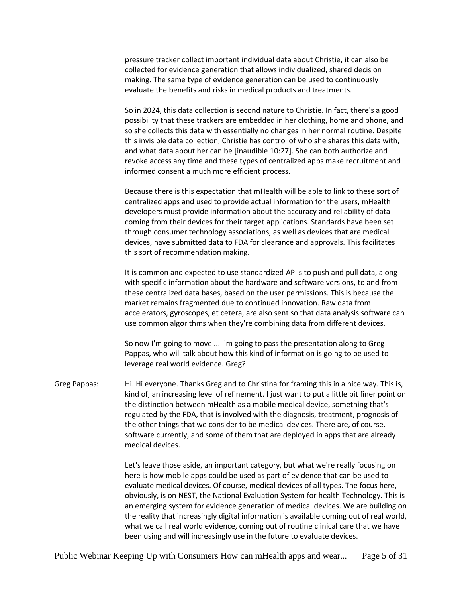pressure tracker collect important individual data about Christie, it can also be collected for evidence generation that allows individualized, shared decision making. The same type of evidence generation can be used to continuously evaluate the benefits and risks in medical products and treatments.

So in 2024, this data collection is second nature to Christie. In fact, there's a good possibility that these trackers are embedded in her clothing, home and phone, and so she collects this data with essentially no changes in her normal routine. Despite this invisible data collection, Christie has control of who she shares this data with, and what data about her can be [inaudible 10:27]. She can both authorize and revoke access any time and these types of centralized apps make recruitment and informed consent a much more efficient process.

Because there is this expectation that mHealth will be able to link to these sort of centralized apps and used to provide actual information for the users, mHealth developers must provide information about the accuracy and reliability of data coming from their devices for their target applications. Standards have been set through consumer technology associations, as well as devices that are medical devices, have submitted data to FDA for clearance and approvals. This facilitates this sort of recommendation making.

It is common and expected to use standardized API's to push and pull data, along with specific information about the hardware and software versions, to and from these centralized data bases, based on the user permissions. This is because the market remains fragmented due to continued innovation. Raw data from accelerators, gyroscopes, et cetera, are also sent so that data analysis software can use common algorithms when they're combining data from different devices.

So now I'm going to move ... I'm going to pass the presentation along to Greg Pappas, who will talk about how this kind of information is going to be used to leverage real world evidence. Greg?

Greg Pappas: Hi. Hi everyone. Thanks Greg and to Christina for framing this in a nice way. This is, kind of, an increasing level of refinement. I just want to put a little bit finer point on the distinction between mHealth as a mobile medical device, something that's regulated by the FDA, that is involved with the diagnosis, treatment, prognosis of the other things that we consider to be medical devices. There are, of course, software currently, and some of them that are deployed in apps that are already medical devices.

> Let's leave those aside, an important category, but what we're really focusing on here is how mobile apps could be used as part of evidence that can be used to evaluate medical devices. Of course, medical devices of all types. The focus here, obviously, is on NEST, the National Evaluation System for health Technology. This is an emerging system for evidence generation of medical devices. We are building on the reality that increasingly digital information is available coming out of real world, what we call real world evidence, coming out of routine clinical care that we have been using and will increasingly use in the future to evaluate devices.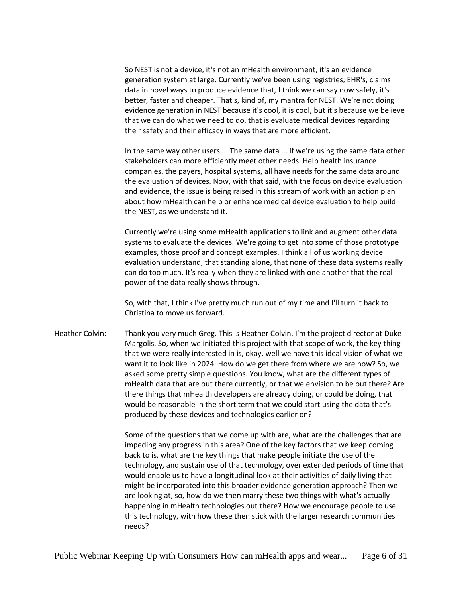So NEST is not a device, it's not an mHealth environment, it's an evidence generation system at large. Currently we've been using registries, EHR's, claims data in novel ways to produce evidence that, I think we can say now safely, it's better, faster and cheaper. That's, kind of, my mantra for NEST. We're not doing evidence generation in NEST because it's cool, it is cool, but it's because we believe that we can do what we need to do, that is evaluate medical devices regarding their safety and their efficacy in ways that are more efficient.

In the same way other users ... The same data ... If we're using the same data other stakeholders can more efficiently meet other needs. Help health insurance companies, the payers, hospital systems, all have needs for the same data around the evaluation of devices. Now, with that said, with the focus on device evaluation and evidence, the issue is being raised in this stream of work with an action plan about how mHealth can help or enhance medical device evaluation to help build the NEST, as we understand it.

Currently we're using some mHealth applications to link and augment other data systems to evaluate the devices. We're going to get into some of those prototype examples, those proof and concept examples. I think all of us working device evaluation understand, that standing alone, that none of these data systems really can do too much. It's really when they are linked with one another that the real power of the data really shows through.

So, with that, I think I've pretty much run out of my time and I'll turn it back to Christina to move us forward.

Heather Colvin: Thank you very much Greg. This is Heather Colvin. I'm the project director at Duke Margolis. So, when we initiated this project with that scope of work, the key thing that we were really interested in is, okay, well we have this ideal vision of what we want it to look like in 2024. How do we get there from where we are now? So, we asked some pretty simple questions. You know, what are the different types of mHealth data that are out there currently, or that we envision to be out there? Are there things that mHealth developers are already doing, or could be doing, that would be reasonable in the short term that we could start using the data that's produced by these devices and technologies earlier on?

> Some of the questions that we come up with are, what are the challenges that are impeding any progress in this area? One of the key factors that we keep coming back to is, what are the key things that make people initiate the use of the technology, and sustain use of that technology, over extended periods of time that would enable us to have a longitudinal look at their activities of daily living that might be incorporated into this broader evidence generation approach? Then we are looking at, so, how do we then marry these two things with what's actually happening in mHealth technologies out there? How we encourage people to use this technology, with how these then stick with the larger research communities needs?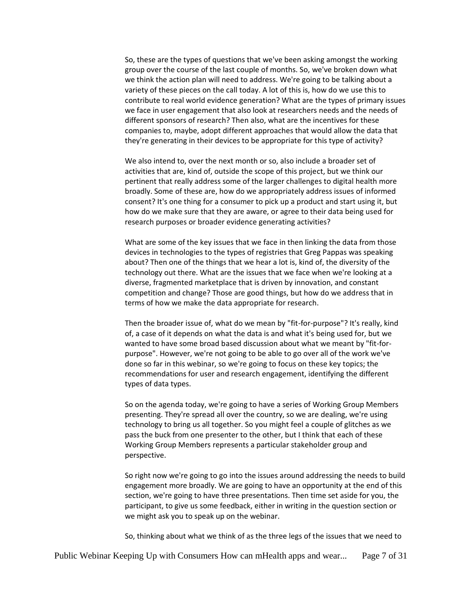So, these are the types of questions that we've been asking amongst the working group over the course of the last couple of months. So, we've broken down what we think the action plan will need to address. We're going to be talking about a variety of these pieces on the call today. A lot of this is, how do we use this to contribute to real world evidence generation? What are the types of primary issues we face in user engagement that also look at researchers needs and the needs of different sponsors of research? Then also, what are the incentives for these companies to, maybe, adopt different approaches that would allow the data that they're generating in their devices to be appropriate for this type of activity?

We also intend to, over the next month or so, also include a broader set of activities that are, kind of, outside the scope of this project, but we think our pertinent that really address some of the larger challenges to digital health more broadly. Some of these are, how do we appropriately address issues of informed consent? It's one thing for a consumer to pick up a product and start using it, but how do we make sure that they are aware, or agree to their data being used for research purposes or broader evidence generating activities?

What are some of the key issues that we face in then linking the data from those devices in technologies to the types of registries that Greg Pappas was speaking about? Then one of the things that we hear a lot is, kind of, the diversity of the technology out there. What are the issues that we face when we're looking at a diverse, fragmented marketplace that is driven by innovation, and constant competition and change? Those are good things, but how do we address that in terms of how we make the data appropriate for research.

Then the broader issue of, what do we mean by "fit-for-purpose"? It's really, kind of, a case of it depends on what the data is and what it's being used for, but we wanted to have some broad based discussion about what we meant by "fit-forpurpose". However, we're not going to be able to go over all of the work we've done so far in this webinar, so we're going to focus on these key topics; the recommendations for user and research engagement, identifying the different types of data types.

So on the agenda today, we're going to have a series of Working Group Members presenting. They're spread all over the country, so we are dealing, we're using technology to bring us all together. So you might feel a couple of glitches as we pass the buck from one presenter to the other, but I think that each of these Working Group Members represents a particular stakeholder group and perspective.

So right now we're going to go into the issues around addressing the needs to build engagement more broadly. We are going to have an opportunity at the end of this section, we're going to have three presentations. Then time set aside for you, the participant, to give us some feedback, either in writing in the question section or we might ask you to speak up on the webinar.

So, thinking about what we think of as the three legs of the issues that we need to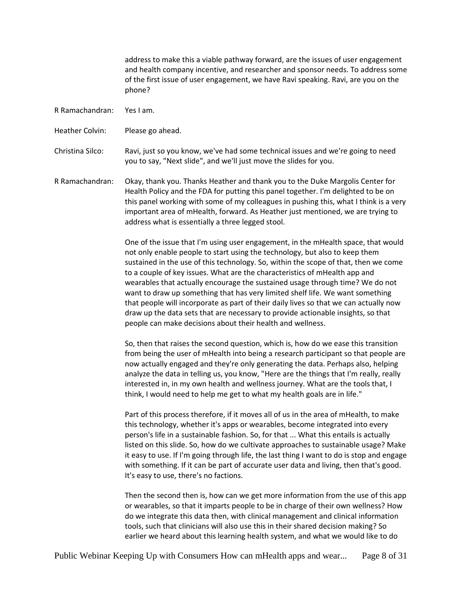address to make this a viable pathway forward, are the issues of user engagement and health company incentive, and researcher and sponsor needs. To address some of the first issue of user engagement, we have Ravi speaking. Ravi, are you on the phone?

R Ramachandran: Yes I am.

Heather Colvin: Please go ahead.

Christina Silco: Ravi, just so you know, we've had some technical issues and we're going to need you to say, "Next slide", and we'll just move the slides for you.

R Ramachandran: Okay, thank you. Thanks Heather and thank you to the Duke Margolis Center for Health Policy and the FDA for putting this panel together. I'm delighted to be on this panel working with some of my colleagues in pushing this, what I think is a very important area of mHealth, forward. As Heather just mentioned, we are trying to address what is essentially a three legged stool.

> One of the issue that I'm using user engagement, in the mHealth space, that would not only enable people to start using the technology, but also to keep them sustained in the use of this technology. So, within the scope of that, then we come to a couple of key issues. What are the characteristics of mHealth app and wearables that actually encourage the sustained usage through time? We do not want to draw up something that has very limited shelf life. We want something that people will incorporate as part of their daily lives so that we can actually now draw up the data sets that are necessary to provide actionable insights, so that people can make decisions about their health and wellness.

> So, then that raises the second question, which is, how do we ease this transition from being the user of mHealth into being a research participant so that people are now actually engaged and they're only generating the data. Perhaps also, helping analyze the data in telling us, you know, "Here are the things that I'm really, really interested in, in my own health and wellness journey. What are the tools that, I think, I would need to help me get to what my health goals are in life."

> Part of this process therefore, if it moves all of us in the area of mHealth, to make this technology, whether it's apps or wearables, become integrated into every person's life in a sustainable fashion. So, for that ... What this entails is actually listed on this slide. So, how do we cultivate approaches to sustainable usage? Make it easy to use. If I'm going through life, the last thing I want to do is stop and engage with something. If it can be part of accurate user data and living, then that's good. It's easy to use, there's no factions.

> Then the second then is, how can we get more information from the use of this app or wearables, so that it imparts people to be in charge of their own wellness? How do we integrate this data then, with clinical management and clinical information tools, such that clinicians will also use this in their shared decision making? So earlier we heard about this learning health system, and what we would like to do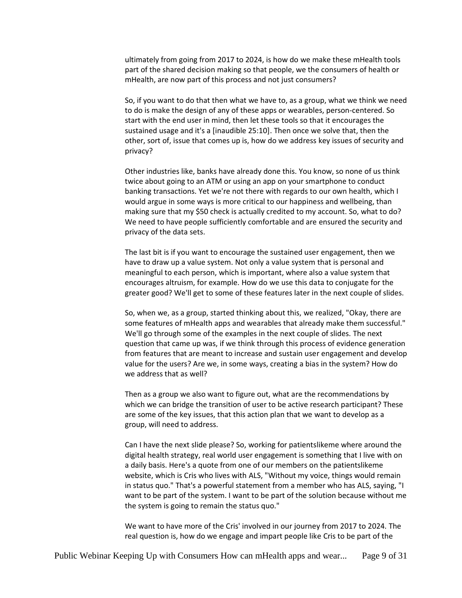ultimately from going from 2017 to 2024, is how do we make these mHealth tools part of the shared decision making so that people, we the consumers of health or mHealth, are now part of this process and not just consumers?

So, if you want to do that then what we have to, as a group, what we think we need to do is make the design of any of these apps or wearables, person-centered. So start with the end user in mind, then let these tools so that it encourages the sustained usage and it's a [inaudible 25:10]. Then once we solve that, then the other, sort of, issue that comes up is, how do we address key issues of security and privacy?

Other industries like, banks have already done this. You know, so none of us think twice about going to an ATM or using an app on your smartphone to conduct banking transactions. Yet we're not there with regards to our own health, which I would argue in some ways is more critical to our happiness and wellbeing, than making sure that my \$50 check is actually credited to my account. So, what to do? We need to have people sufficiently comfortable and are ensured the security and privacy of the data sets.

The last bit is if you want to encourage the sustained user engagement, then we have to draw up a value system. Not only a value system that is personal and meaningful to each person, which is important, where also a value system that encourages altruism, for example. How do we use this data to conjugate for the greater good? We'll get to some of these features later in the next couple of slides.

So, when we, as a group, started thinking about this, we realized, "Okay, there are some features of mHealth apps and wearables that already make them successful." We'll go through some of the examples in the next couple of slides. The next question that came up was, if we think through this process of evidence generation from features that are meant to increase and sustain user engagement and develop value for the users? Are we, in some ways, creating a bias in the system? How do we address that as well?

Then as a group we also want to figure out, what are the recommendations by which we can bridge the transition of user to be active research participant? These are some of the key issues, that this action plan that we want to develop as a group, will need to address.

Can I have the next slide please? So, working for patientslikeme where around the digital health strategy, real world user engagement is something that I live with on a daily basis. Here's a quote from one of our members on the patientslikeme website, which is Cris who lives with ALS, "Without my voice, things would remain in status quo." That's a powerful statement from a member who has ALS, saying, "I want to be part of the system. I want to be part of the solution because without me the system is going to remain the status quo."

We want to have more of the Cris' involved in our journey from 2017 to 2024. The real question is, how do we engage and impart people like Cris to be part of the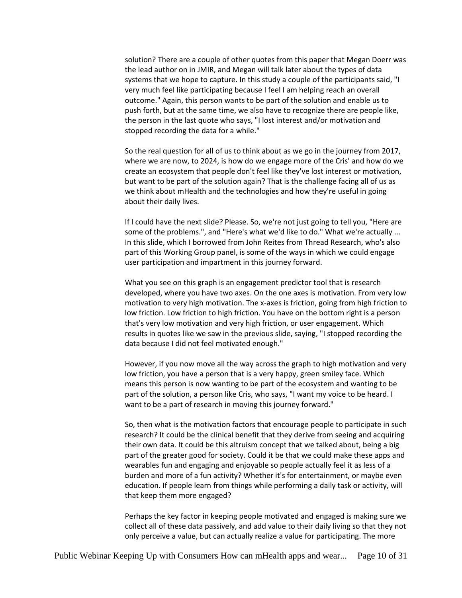solution? There are a couple of other quotes from this paper that Megan Doerr was the lead author on in JMIR, and Megan will talk later about the types of data systems that we hope to capture. In this study a couple of the participants said, "I very much feel like participating because I feel I am helping reach an overall outcome." Again, this person wants to be part of the solution and enable us to push forth, but at the same time, we also have to recognize there are people like, the person in the last quote who says, "I lost interest and/or motivation and stopped recording the data for a while."

So the real question for all of us to think about as we go in the journey from 2017, where we are now, to 2024, is how do we engage more of the Cris' and how do we create an ecosystem that people don't feel like they've lost interest or motivation, but want to be part of the solution again? That is the challenge facing all of us as we think about mHealth and the technologies and how they're useful in going about their daily lives.

If I could have the next slide? Please. So, we're not just going to tell you, "Here are some of the problems.", and "Here's what we'd like to do." What we're actually ... In this slide, which I borrowed from John Reites from Thread Research, who's also part of this Working Group panel, is some of the ways in which we could engage user participation and impartment in this journey forward.

What you see on this graph is an engagement predictor tool that is research developed, where you have two axes. On the one axes is motivation. From very low motivation to very high motivation. The x-axes is friction, going from high friction to low friction. Low friction to high friction. You have on the bottom right is a person that's very low motivation and very high friction, or user engagement. Which results in quotes like we saw in the previous slide, saying, "I stopped recording the data because I did not feel motivated enough."

However, if you now move all the way across the graph to high motivation and very low friction, you have a person that is a very happy, green smiley face. Which means this person is now wanting to be part of the ecosystem and wanting to be part of the solution, a person like Cris, who says, "I want my voice to be heard. I want to be a part of research in moving this journey forward."

So, then what is the motivation factors that encourage people to participate in such research? It could be the clinical benefit that they derive from seeing and acquiring their own data. It could be this altruism concept that we talked about, being a big part of the greater good for society. Could it be that we could make these apps and wearables fun and engaging and enjoyable so people actually feel it as less of a burden and more of a fun activity? Whether it's for entertainment, or maybe even education. If people learn from things while performing a daily task or activity, will that keep them more engaged?

Perhaps the key factor in keeping people motivated and engaged is making sure we collect all of these data passively, and add value to their daily living so that they not only perceive a value, but can actually realize a value for participating. The more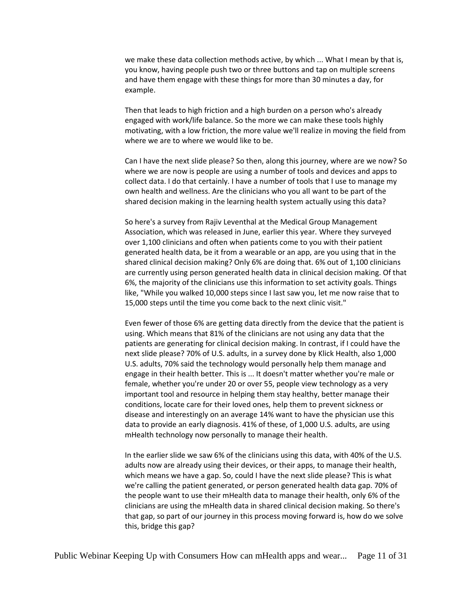we make these data collection methods active, by which ... What I mean by that is, you know, having people push two or three buttons and tap on multiple screens and have them engage with these things for more than 30 minutes a day, for example.

Then that leads to high friction and a high burden on a person who's already engaged with work/life balance. So the more we can make these tools highly motivating, with a low friction, the more value we'll realize in moving the field from where we are to where we would like to be.

Can I have the next slide please? So then, along this journey, where are we now? So where we are now is people are using a number of tools and devices and apps to collect data. I do that certainly. I have a number of tools that I use to manage my own health and wellness. Are the clinicians who you all want to be part of the shared decision making in the learning health system actually using this data?

So here's a survey from Rajiv Leventhal at the Medical Group Management Association, which was released in June, earlier this year. Where they surveyed over 1,100 clinicians and often when patients come to you with their patient generated health data, be it from a wearable or an app, are you using that in the shared clinical decision making? Only 6% are doing that. 6% out of 1,100 clinicians are currently using person generated health data in clinical decision making. Of that 6%, the majority of the clinicians use this information to set activity goals. Things like, "While you walked 10,000 steps since I last saw you, let me now raise that to 15,000 steps until the time you come back to the next clinic visit."

Even fewer of those 6% are getting data directly from the device that the patient is using. Which means that 81% of the clinicians are not using any data that the patients are generating for clinical decision making. In contrast, if I could have the next slide please? 70% of U.S. adults, in a survey done by Klick Health, also 1,000 U.S. adults, 70% said the technology would personally help them manage and engage in their health better. This is ... It doesn't matter whether you're male or female, whether you're under 20 or over 55, people view technology as a very important tool and resource in helping them stay healthy, better manage their conditions, locate care for their loved ones, help them to prevent sickness or disease and interestingly on an average 14% want to have the physician use this data to provide an early diagnosis. 41% of these, of 1,000 U.S. adults, are using mHealth technology now personally to manage their health.

In the earlier slide we saw 6% of the clinicians using this data, with 40% of the U.S. adults now are already using their devices, or their apps, to manage their health, which means we have a gap. So, could I have the next slide please? This is what we're calling the patient generated, or person generated health data gap. 70% of the people want to use their mHealth data to manage their health, only 6% of the clinicians are using the mHealth data in shared clinical decision making. So there's that gap, so part of our journey in this process moving forward is, how do we solve this, bridge this gap?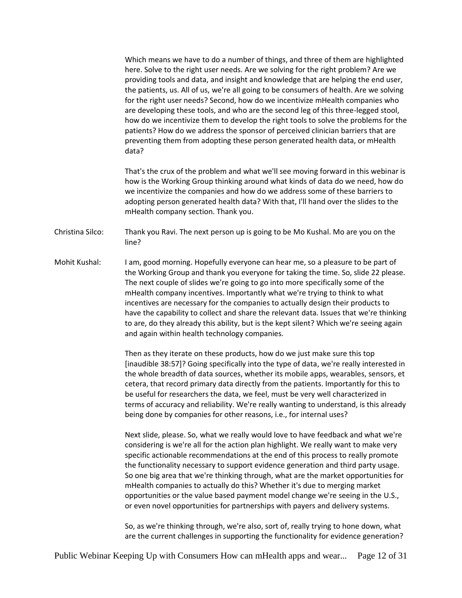Which means we have to do a number of things, and three of them are highlighted here. Solve to the right user needs. Are we solving for the right problem? Are we providing tools and data, and insight and knowledge that are helping the end user, the patients, us. All of us, we're all going to be consumers of health. Are we solving for the right user needs? Second, how do we incentivize mHealth companies who are developing these tools, and who are the second leg of this three-legged stool, how do we incentivize them to develop the right tools to solve the problems for the patients? How do we address the sponsor of perceived clinician barriers that are preventing them from adopting these person generated health data, or mHealth data?

That's the crux of the problem and what we'll see moving forward in this webinar is how is the Working Group thinking around what kinds of data do we need, how do we incentivize the companies and how do we address some of these barriers to adopting person generated health data? With that, I'll hand over the slides to the mHealth company section. Thank you.

Christina Silco: Thank you Ravi. The next person up is going to be Mo Kushal. Mo are you on the line?

Mohit Kushal: I am, good morning. Hopefully everyone can hear me, so a pleasure to be part of the Working Group and thank you everyone for taking the time. So, slide 22 please. The next couple of slides we're going to go into more specifically some of the mHealth company incentives. Importantly what we're trying to think to what incentives are necessary for the companies to actually design their products to have the capability to collect and share the relevant data. Issues that we're thinking to are, do they already this ability, but is the kept silent? Which we're seeing again and again within health technology companies.

> Then as they iterate on these products, how do we just make sure this top [inaudible 38:57]? Going specifically into the type of data, we're really interested in the whole breadth of data sources, whether its mobile apps, wearables, sensors, et cetera, that record primary data directly from the patients. Importantly for this to be useful for researchers the data, we feel, must be very well characterized in terms of accuracy and reliability. We're really wanting to understand, is this already being done by companies for other reasons, i.e., for internal uses?

> Next slide, please. So, what we really would love to have feedback and what we're considering is we're all for the action plan highlight. We really want to make very specific actionable recommendations at the end of this process to really promote the functionality necessary to support evidence generation and third party usage. So one big area that we're thinking through, what are the market opportunities for mHealth companies to actually do this? Whether it's due to merging market opportunities or the value based payment model change we're seeing in the U.S., or even novel opportunities for partnerships with payers and delivery systems.

> So, as we're thinking through, we're also, sort of, really trying to hone down, what are the current challenges in supporting the functionality for evidence generation?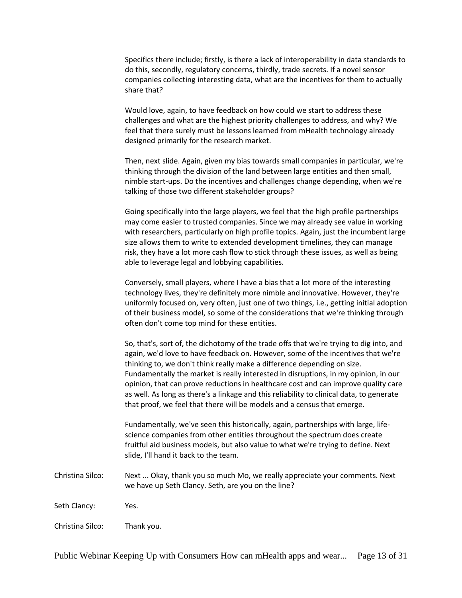Specifics there include; firstly, is there a lack of interoperability in data standards to do this, secondly, regulatory concerns, thirdly, trade secrets. If a novel sensor companies collecting interesting data, what are the incentives for them to actually share that?

Would love, again, to have feedback on how could we start to address these challenges and what are the highest priority challenges to address, and why? We feel that there surely must be lessons learned from mHealth technology already designed primarily for the research market.

Then, next slide. Again, given my bias towards small companies in particular, we're thinking through the division of the land between large entities and then small, nimble start-ups. Do the incentives and challenges change depending, when we're talking of those two different stakeholder groups?

Going specifically into the large players, we feel that the high profile partnerships may come easier to trusted companies. Since we may already see value in working with researchers, particularly on high profile topics. Again, just the incumbent large size allows them to write to extended development timelines, they can manage risk, they have a lot more cash flow to stick through these issues, as well as being able to leverage legal and lobbying capabilities.

Conversely, small players, where I have a bias that a lot more of the interesting technology lives, they're definitely more nimble and innovative. However, they're uniformly focused on, very often, just one of two things, i.e., getting initial adoption of their business model, so some of the considerations that we're thinking through often don't come top mind for these entities.

So, that's, sort of, the dichotomy of the trade offs that we're trying to dig into, and again, we'd love to have feedback on. However, some of the incentives that we're thinking to, we don't think really make a difference depending on size. Fundamentally the market is really interested in disruptions, in my opinion, in our opinion, that can prove reductions in healthcare cost and can improve quality care as well. As long as there's a linkage and this reliability to clinical data, to generate that proof, we feel that there will be models and a census that emerge.

Fundamentally, we've seen this historically, again, partnerships with large, lifescience companies from other entities throughout the spectrum does create fruitful aid business models, but also value to what we're trying to define. Next slide, I'll hand it back to the team.

Christina Silco: Next ... Okay, thank you so much Mo, we really appreciate your comments. Next we have up Seth Clancy. Seth, are you on the line?

Seth Clancy: Yes.

Christina Silco: Thank you.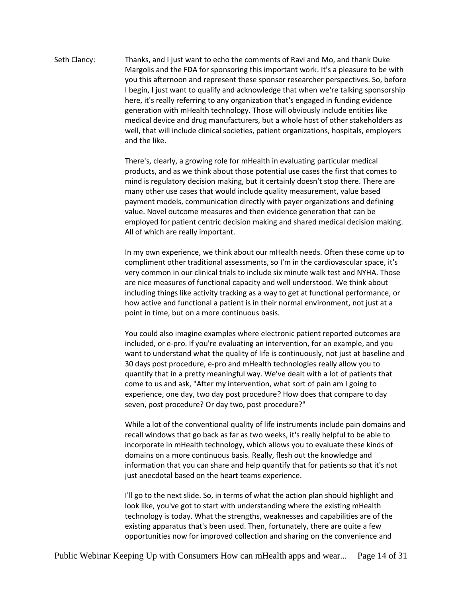Seth Clancy: Thanks, and I just want to echo the comments of Ravi and Mo, and thank Duke Margolis and the FDA for sponsoring this important work. It's a pleasure to be with you this afternoon and represent these sponsor researcher perspectives. So, before I begin, I just want to qualify and acknowledge that when we're talking sponsorship here, it's really referring to any organization that's engaged in funding evidence generation with mHealth technology. Those will obviously include entities like medical device and drug manufacturers, but a whole host of other stakeholders as well, that will include clinical societies, patient organizations, hospitals, employers and the like.

> There's, clearly, a growing role for mHealth in evaluating particular medical products, and as we think about those potential use cases the first that comes to mind is regulatory decision making, but it certainly doesn't stop there. There are many other use cases that would include quality measurement, value based payment models, communication directly with payer organizations and defining value. Novel outcome measures and then evidence generation that can be employed for patient centric decision making and shared medical decision making. All of which are really important.

> In my own experience, we think about our mHealth needs. Often these come up to compliment other traditional assessments, so I'm in the cardiovascular space, it's very common in our clinical trials to include six minute walk test and NYHA. Those are nice measures of functional capacity and well understood. We think about including things like activity tracking as a way to get at functional performance, or how active and functional a patient is in their normal environment, not just at a point in time, but on a more continuous basis.

> You could also imagine examples where electronic patient reported outcomes are included, or e-pro. If you're evaluating an intervention, for an example, and you want to understand what the quality of life is continuously, not just at baseline and 30 days post procedure, e-pro and mHealth technologies really allow you to quantify that in a pretty meaningful way. We've dealt with a lot of patients that come to us and ask, "After my intervention, what sort of pain am I going to experience, one day, two day post procedure? How does that compare to day seven, post procedure? Or day two, post procedure?"

> While a lot of the conventional quality of life instruments include pain domains and recall windows that go back as far as two weeks, it's really helpful to be able to incorporate in mHealth technology, which allows you to evaluate these kinds of domains on a more continuous basis. Really, flesh out the knowledge and information that you can share and help quantify that for patients so that it's not just anecdotal based on the heart teams experience.

I'll go to the next slide. So, in terms of what the action plan should highlight and look like, you've got to start with understanding where the existing mHealth technology is today. What the strengths, weaknesses and capabilities are of the existing apparatus that's been used. Then, fortunately, there are quite a few opportunities now for improved collection and sharing on the convenience and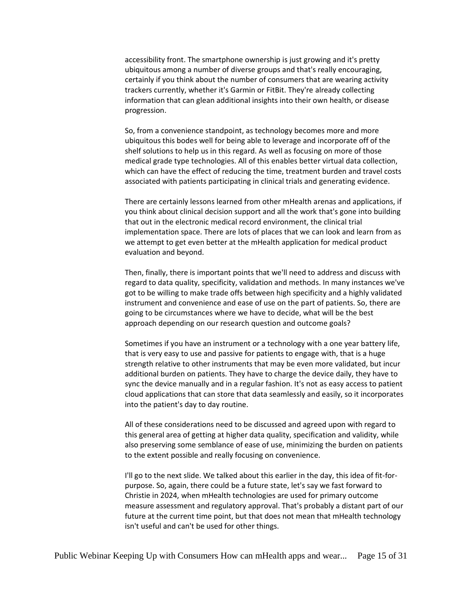accessibility front. The smartphone ownership is just growing and it's pretty ubiquitous among a number of diverse groups and that's really encouraging, certainly if you think about the number of consumers that are wearing activity trackers currently, whether it's Garmin or FitBit. They're already collecting information that can glean additional insights into their own health, or disease progression.

So, from a convenience standpoint, as technology becomes more and more ubiquitous this bodes well for being able to leverage and incorporate off of the shelf solutions to help us in this regard. As well as focusing on more of those medical grade type technologies. All of this enables better virtual data collection, which can have the effect of reducing the time, treatment burden and travel costs associated with patients participating in clinical trials and generating evidence.

There are certainly lessons learned from other mHealth arenas and applications, if you think about clinical decision support and all the work that's gone into building that out in the electronic medical record environment, the clinical trial implementation space. There are lots of places that we can look and learn from as we attempt to get even better at the mHealth application for medical product evaluation and beyond.

Then, finally, there is important points that we'll need to address and discuss with regard to data quality, specificity, validation and methods. In many instances we've got to be willing to make trade offs between high specificity and a highly validated instrument and convenience and ease of use on the part of patients. So, there are going to be circumstances where we have to decide, what will be the best approach depending on our research question and outcome goals?

Sometimes if you have an instrument or a technology with a one year battery life, that is very easy to use and passive for patients to engage with, that is a huge strength relative to other instruments that may be even more validated, but incur additional burden on patients. They have to charge the device daily, they have to sync the device manually and in a regular fashion. It's not as easy access to patient cloud applications that can store that data seamlessly and easily, so it incorporates into the patient's day to day routine.

All of these considerations need to be discussed and agreed upon with regard to this general area of getting at higher data quality, specification and validity, while also preserving some semblance of ease of use, minimizing the burden on patients to the extent possible and really focusing on convenience.

I'll go to the next slide. We talked about this earlier in the day, this idea of fit-forpurpose. So, again, there could be a future state, let's say we fast forward to Christie in 2024, when mHealth technologies are used for primary outcome measure assessment and regulatory approval. That's probably a distant part of our future at the current time point, but that does not mean that mHealth technology isn't useful and can't be used for other things.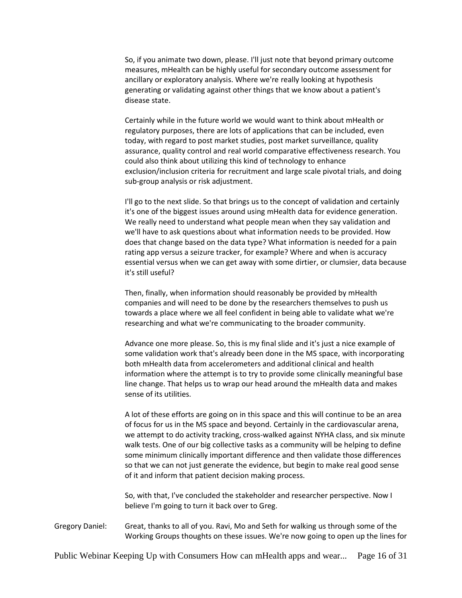So, if you animate two down, please. I'll just note that beyond primary outcome measures, mHealth can be highly useful for secondary outcome assessment for ancillary or exploratory analysis. Where we're really looking at hypothesis generating or validating against other things that we know about a patient's disease state.

Certainly while in the future world we would want to think about mHealth or regulatory purposes, there are lots of applications that can be included, even today, with regard to post market studies, post market surveillance, quality assurance, quality control and real world comparative effectiveness research. You could also think about utilizing this kind of technology to enhance exclusion/inclusion criteria for recruitment and large scale pivotal trials, and doing sub-group analysis or risk adjustment.

I'll go to the next slide. So that brings us to the concept of validation and certainly it's one of the biggest issues around using mHealth data for evidence generation. We really need to understand what people mean when they say validation and we'll have to ask questions about what information needs to be provided. How does that change based on the data type? What information is needed for a pain rating app versus a seizure tracker, for example? Where and when is accuracy essential versus when we can get away with some dirtier, or clumsier, data because it's still useful?

Then, finally, when information should reasonably be provided by mHealth companies and will need to be done by the researchers themselves to push us towards a place where we all feel confident in being able to validate what we're researching and what we're communicating to the broader community.

Advance one more please. So, this is my final slide and it's just a nice example of some validation work that's already been done in the MS space, with incorporating both mHealth data from accelerometers and additional clinical and health information where the attempt is to try to provide some clinically meaningful base line change. That helps us to wrap our head around the mHealth data and makes sense of its utilities.

A lot of these efforts are going on in this space and this will continue to be an area of focus for us in the MS space and beyond. Certainly in the cardiovascular arena, we attempt to do activity tracking, cross-walked against NYHA class, and six minute walk tests. One of our big collective tasks as a community will be helping to define some minimum clinically important difference and then validate those differences so that we can not just generate the evidence, but begin to make real good sense of it and inform that patient decision making process.

So, with that, I've concluded the stakeholder and researcher perspective. Now I believe I'm going to turn it back over to Greg.

Gregory Daniel: Great, thanks to all of you. Ravi, Mo and Seth for walking us through some of the Working Groups thoughts on these issues. We're now going to open up the lines for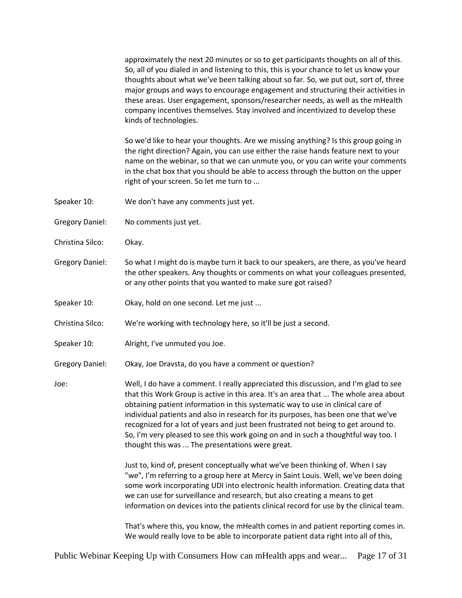approximately the next 20 minutes or so to get participants thoughts on all of this. So, all of you dialed in and listening to this, this is your chance to let us know your thoughts about what we've been talking about so far. So, we put out, sort of, three major groups and ways to encourage engagement and structuring their activities in these areas. User engagement, sponsors/researcher needs, as well as the mHealth company incentives themselves. Stay involved and incentivized to develop these kinds of technologies.

So we'd like to hear your thoughts. Are we missing anything? Is this group going in the right direction? Again, you can use either the raise hands feature next to your name on the webinar, so that we can unmute you, or you can write your comments in the chat box that you should be able to access through the button on the upper right of your screen. So let me turn to ...

- Speaker 10: We don't have any comments just yet.
- Gregory Daniel: No comments just yet.
- Christina Silco: Okay.
- Gregory Daniel: So what I might do is maybe turn it back to our speakers, are there, as you've heard the other speakers. Any thoughts or comments on what your colleagues presented, or any other points that you wanted to make sure got raised?
- Speaker 10: Okay, hold on one second. Let me just ...
- Christina Silco: We're working with technology here, so it'll be just a second.
- Speaker 10: Alright, I've unmuted you Joe.
- Gregory Daniel: Okay, Joe Dravsta, do you have a comment or question?

Joe: Well, I do have a comment. I really appreciated this discussion, and I'm glad to see that this Work Group is active in this area. It's an area that ... The whole area about obtaining patient information in this systematic way to use in clinical care of individual patients and also in research for its purposes, has been one that we've recognized for a lot of years and just been frustrated not being to get around to. So, I'm very pleased to see this work going on and in such a thoughtful way too. I thought this was ... The presentations were great.

> Just to, kind of, present conceptually what we've been thinking of. When I say "we", I'm referring to a group here at Mercy in Saint Louis. Well, we've been doing some work incorporating UDI into electronic health information. Creating data that we can use for surveillance and research, but also creating a means to get information on devices into the patients clinical record for use by the clinical team.

> That's where this, you know, the mHealth comes in and patient reporting comes in. We would really love to be able to incorporate patient data right into all of this,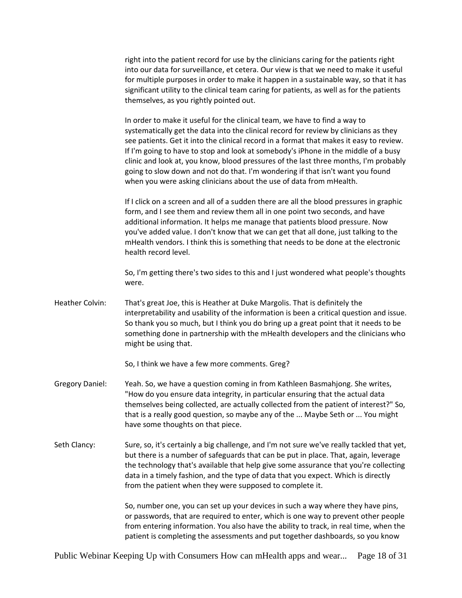right into the patient record for use by the clinicians caring for the patients right into our data for surveillance, et cetera. Our view is that we need to make it useful for multiple purposes in order to make it happen in a sustainable way, so that it has significant utility to the clinical team caring for patients, as well as for the patients themselves, as you rightly pointed out.

In order to make it useful for the clinical team, we have to find a way to systematically get the data into the clinical record for review by clinicians as they see patients. Get it into the clinical record in a format that makes it easy to review. If I'm going to have to stop and look at somebody's iPhone in the middle of a busy clinic and look at, you know, blood pressures of the last three months, I'm probably going to slow down and not do that. I'm wondering if that isn't want you found when you were asking clinicians about the use of data from mHealth.

If I click on a screen and all of a sudden there are all the blood pressures in graphic form, and I see them and review them all in one point two seconds, and have additional information. It helps me manage that patients blood pressure. Now you've added value. I don't know that we can get that all done, just talking to the mHealth vendors. I think this is something that needs to be done at the electronic health record level.

So, I'm getting there's two sides to this and I just wondered what people's thoughts were.

Heather Colvin: That's great Joe, this is Heather at Duke Margolis. That is definitely the interpretability and usability of the information is been a critical question and issue. So thank you so much, but I think you do bring up a great point that it needs to be something done in partnership with the mHealth developers and the clinicians who might be using that.

So, I think we have a few more comments. Greg?

- Gregory Daniel: Yeah. So, we have a question coming in from Kathleen Basmahjong. She writes, "How do you ensure data integrity, in particular ensuring that the actual data themselves being collected, are actually collected from the patient of interest?" So, that is a really good question, so maybe any of the ... Maybe Seth or ... You might have some thoughts on that piece.
- Seth Clancy: Sure, so, it's certainly a big challenge, and I'm not sure we've really tackled that yet, but there is a number of safeguards that can be put in place. That, again, leverage the technology that's available that help give some assurance that you're collecting data in a timely fashion, and the type of data that you expect. Which is directly from the patient when they were supposed to complete it.

So, number one, you can set up your devices in such a way where they have pins, or passwords, that are required to enter, which is one way to prevent other people from entering information. You also have the ability to track, in real time, when the patient is completing the assessments and put together dashboards, so you know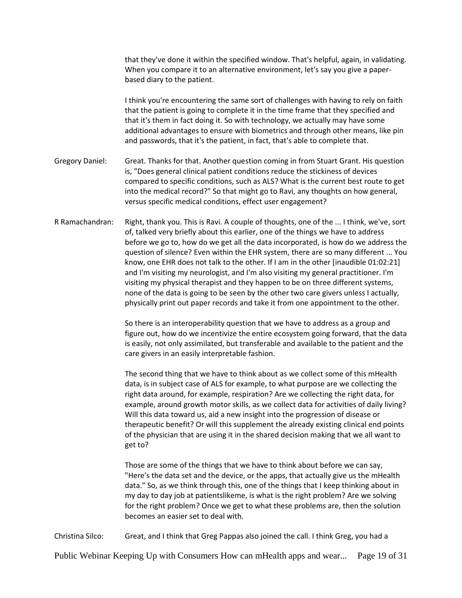|                        | that they've done it within the specified window. That's helpful, again, in validating.<br>When you compare it to an alternative environment, let's say you give a paper-<br>based diary to the patient.                                                                                                                                                                                                                                                                                                                                                                                                                                                                                                                                                                                             |
|------------------------|------------------------------------------------------------------------------------------------------------------------------------------------------------------------------------------------------------------------------------------------------------------------------------------------------------------------------------------------------------------------------------------------------------------------------------------------------------------------------------------------------------------------------------------------------------------------------------------------------------------------------------------------------------------------------------------------------------------------------------------------------------------------------------------------------|
|                        | I think you're encountering the same sort of challenges with having to rely on faith<br>that the patient is going to complete it in the time frame that they specified and<br>that it's them in fact doing it. So with technology, we actually may have some<br>additional advantages to ensure with biometrics and through other means, like pin<br>and passwords, that it's the patient, in fact, that's able to complete that.                                                                                                                                                                                                                                                                                                                                                                    |
| <b>Gregory Daniel:</b> | Great. Thanks for that. Another question coming in from Stuart Grant. His question<br>is, "Does general clinical patient conditions reduce the stickiness of devices<br>compared to specific conditions, such as ALS? What is the current best route to get<br>into the medical record?" So that might go to Ravi, any thoughts on how general,<br>versus specific medical conditions, effect user engagement?                                                                                                                                                                                                                                                                                                                                                                                       |
| R Ramachandran:        | Right, thank you. This is Ravi. A couple of thoughts, one of the  I think, we've, sort<br>of, talked very briefly about this earlier, one of the things we have to address<br>before we go to, how do we get all the data incorporated, is how do we address the<br>question of silence? Even within the EHR system, there are so many different  You<br>know, one EHR does not talk to the other. If I am in the other [inaudible 01:02:21]<br>and I'm visiting my neurologist, and I'm also visiting my general practitioner. I'm<br>visiting my physical therapist and they happen to be on three different systems,<br>none of the data is going to be seen by the other two care givers unless I actually,<br>physically print out paper records and take it from one appointment to the other. |
|                        | So there is an interoperability question that we have to address as a group and<br>figure out, how do we incentivize the entire ecosystem going forward, that the data<br>is easily, not only assimilated, but transferable and available to the patient and the<br>care givers in an easily interpretable fashion.                                                                                                                                                                                                                                                                                                                                                                                                                                                                                  |
|                        | The second thing that we have to think about as we collect some of this mHealth<br>data, is in subject case of ALS for example, to what purpose are we collecting the<br>right data around, for example, respiration? Are we collecting the right data, for<br>example, around growth motor skills, as we collect data for activities of daily living?<br>Will this data toward us, aid a new insight into the progression of disease or<br>therapeutic benefit? Or will this supplement the already existing clinical end points<br>of the physician that are using it in the shared decision making that we all want to<br>get to?                                                                                                                                                                 |
|                        | Those are some of the things that we have to think about before we can say,<br>"Here's the data set and the device, or the apps, that actually give us the mHealth<br>data." So, as we think through this, one of the things that I keep thinking about in<br>my day to day job at patientslikeme, is what is the right problem? Are we solving<br>for the right problem? Once we get to what these problems are, then the solution<br>becomes an easier set to deal with.                                                                                                                                                                                                                                                                                                                           |
| Christina Silco:       | Great, and I think that Greg Pappas also joined the call. I think Greg, you had a                                                                                                                                                                                                                                                                                                                                                                                                                                                                                                                                                                                                                                                                                                                    |

Public Webinar Keeping Up with Consumers How can mHealth apps and wear... Page 19 of 31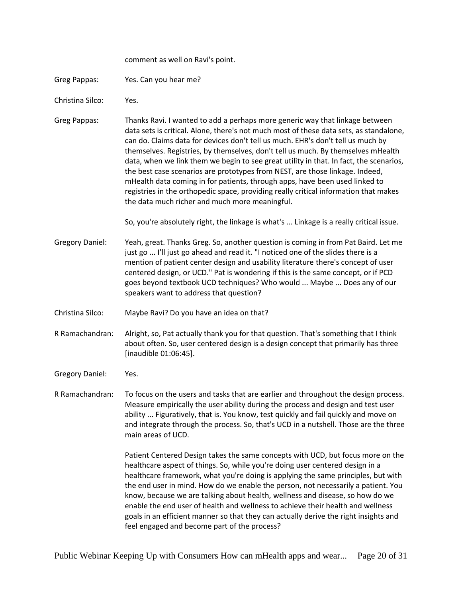comment as well on Ravi's point.

Greg Pappas: Yes. Can you hear me?

Christina Silco: Yes.

Greg Pappas: Thanks Ravi. I wanted to add a perhaps more generic way that linkage between data sets is critical. Alone, there's not much most of these data sets, as standalone, can do. Claims data for devices don't tell us much. EHR's don't tell us much by themselves. Registries, by themselves, don't tell us much. By themselves mHealth data, when we link them we begin to see great utility in that. In fact, the scenarios, the best case scenarios are prototypes from NEST, are those linkage. Indeed, mHealth data coming in for patients, through apps, have been used linked to registries in the orthopedic space, providing really critical information that makes the data much richer and much more meaningful.

So, you're absolutely right, the linkage is what's ... Linkage is a really critical issue.

- Gregory Daniel: Yeah, great. Thanks Greg. So, another question is coming in from Pat Baird. Let me just go ... I'll just go ahead and read it. "I noticed one of the slides there is a mention of patient center design and usability literature there's concept of user centered design, or UCD." Pat is wondering if this is the same concept, or if PCD goes beyond textbook UCD techniques? Who would ... Maybe ... Does any of our speakers want to address that question?
- Christina Silco: Maybe Ravi? Do you have an idea on that?

R Ramachandran: Alright, so, Pat actually thank you for that question. That's something that I think about often. So, user centered design is a design concept that primarily has three [inaudible 01:06:45].

Gregory Daniel: Yes.

R Ramachandran: To focus on the users and tasks that are earlier and throughout the design process. Measure empirically the user ability during the process and design and test user ability ... Figuratively, that is. You know, test quickly and fail quickly and move on and integrate through the process. So, that's UCD in a nutshell. Those are the three main areas of UCD.

> Patient Centered Design takes the same concepts with UCD, but focus more on the healthcare aspect of things. So, while you're doing user centered design in a healthcare framework, what you're doing is applying the same principles, but with the end user in mind. How do we enable the person, not necessarily a patient. You know, because we are talking about health, wellness and disease, so how do we enable the end user of health and wellness to achieve their health and wellness goals in an efficient manner so that they can actually derive the right insights and feel engaged and become part of the process?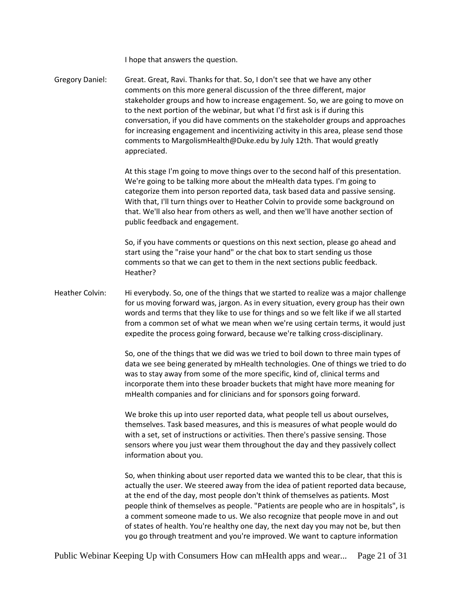I hope that answers the question.

Gregory Daniel: Great. Great, Ravi. Thanks for that. So, I don't see that we have any other comments on this more general discussion of the three different, major stakeholder groups and how to increase engagement. So, we are going to move on to the next portion of the webinar, but what I'd first ask is if during this conversation, if you did have comments on the stakeholder groups and approaches for increasing engagement and incentivizing activity in this area, please send those comments to MargolismHealth@Duke.edu by July 12th. That would greatly appreciated.

> At this stage I'm going to move things over to the second half of this presentation. We're going to be talking more about the mHealth data types. I'm going to categorize them into person reported data, task based data and passive sensing. With that, I'll turn things over to Heather Colvin to provide some background on that. We'll also hear from others as well, and then we'll have another section of public feedback and engagement.

So, if you have comments or questions on this next section, please go ahead and start using the "raise your hand" or the chat box to start sending us those comments so that we can get to them in the next sections public feedback. Heather?

Heather Colvin: Hi everybody. So, one of the things that we started to realize was a major challenge for us moving forward was, jargon. As in every situation, every group has their own words and terms that they like to use for things and so we felt like if we all started from a common set of what we mean when we're using certain terms, it would just expedite the process going forward, because we're talking cross-disciplinary.

> So, one of the things that we did was we tried to boil down to three main types of data we see being generated by mHealth technologies. One of things we tried to do was to stay away from some of the more specific, kind of, clinical terms and incorporate them into these broader buckets that might have more meaning for mHealth companies and for clinicians and for sponsors going forward.

We broke this up into user reported data, what people tell us about ourselves, themselves. Task based measures, and this is measures of what people would do with a set, set of instructions or activities. Then there's passive sensing. Those sensors where you just wear them throughout the day and they passively collect information about you.

So, when thinking about user reported data we wanted this to be clear, that this is actually the user. We steered away from the idea of patient reported data because, at the end of the day, most people don't think of themselves as patients. Most people think of themselves as people. "Patients are people who are in hospitals", is a comment someone made to us. We also recognize that people move in and out of states of health. You're healthy one day, the next day you may not be, but then you go through treatment and you're improved. We want to capture information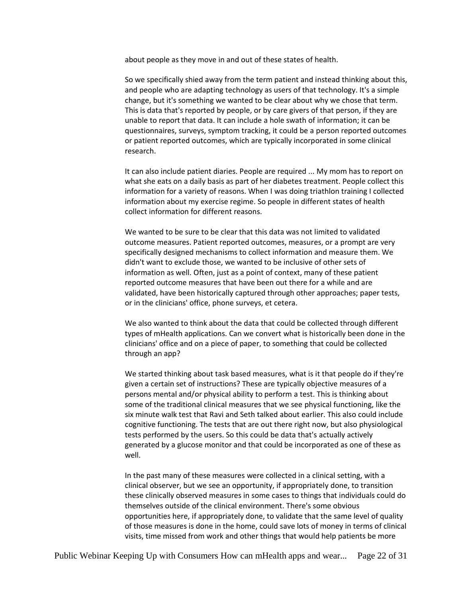about people as they move in and out of these states of health.

So we specifically shied away from the term patient and instead thinking about this, and people who are adapting technology as users of that technology. It's a simple change, but it's something we wanted to be clear about why we chose that term. This is data that's reported by people, or by care givers of that person, if they are unable to report that data. It can include a hole swath of information; it can be questionnaires, surveys, symptom tracking, it could be a person reported outcomes or patient reported outcomes, which are typically incorporated in some clinical research.

It can also include patient diaries. People are required ... My mom has to report on what she eats on a daily basis as part of her diabetes treatment. People collect this information for a variety of reasons. When I was doing triathlon training I collected information about my exercise regime. So people in different states of health collect information for different reasons.

We wanted to be sure to be clear that this data was not limited to validated outcome measures. Patient reported outcomes, measures, or a prompt are very specifically designed mechanisms to collect information and measure them. We didn't want to exclude those, we wanted to be inclusive of other sets of information as well. Often, just as a point of context, many of these patient reported outcome measures that have been out there for a while and are validated, have been historically captured through other approaches; paper tests, or in the clinicians' office, phone surveys, et cetera.

We also wanted to think about the data that could be collected through different types of mHealth applications. Can we convert what is historically been done in the clinicians' office and on a piece of paper, to something that could be collected through an app?

We started thinking about task based measures, what is it that people do if they're given a certain set of instructions? These are typically objective measures of a persons mental and/or physical ability to perform a test. This is thinking about some of the traditional clinical measures that we see physical functioning, like the six minute walk test that Ravi and Seth talked about earlier. This also could include cognitive functioning. The tests that are out there right now, but also physiological tests performed by the users. So this could be data that's actually actively generated by a glucose monitor and that could be incorporated as one of these as well.

In the past many of these measures were collected in a clinical setting, with a clinical observer, but we see an opportunity, if appropriately done, to transition these clinically observed measures in some cases to things that individuals could do themselves outside of the clinical environment. There's some obvious opportunities here, if appropriately done, to validate that the same level of quality of those measures is done in the home, could save lots of money in terms of clinical visits, time missed from work and other things that would help patients be more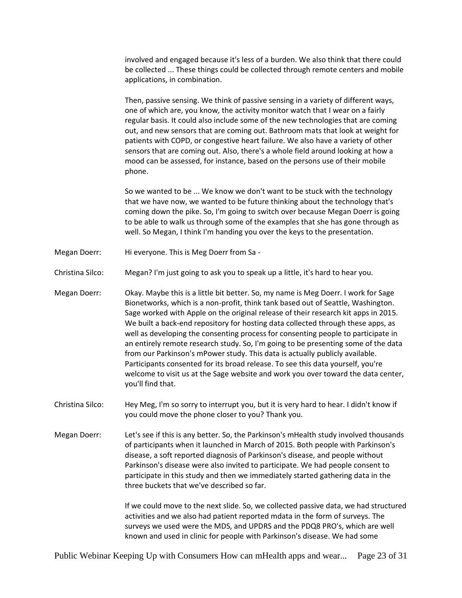involved and engaged because it's less of a burden. We also think that there could be collected ... These things could be collected through remote centers and mobile applications, in combination.

Then, passive sensing. We think of passive sensing in a variety of different ways, one of which are, you know, the activity monitor watch that I wear on a fairly regular basis. It could also include some of the new technologies that are coming out, and new sensors that are coming out. Bathroom mats that look at weight for patients with COPD, or congestive heart failure. We also have a variety of other sensors that are coming out. Also, there's a whole field around looking at how a mood can be assessed, for instance, based on the persons use of their mobile phone.

So we wanted to be ... We know we don't want to be stuck with the technology that we have now, we wanted to be future thinking about the technology that's coming down the pike. So, I'm going to switch over because Megan Doerr is going to be able to walk us through some of the examples that she has gone through as well. So Megan, I think I'm handing you over the keys to the presentation.

- Megan Doerr: Hi everyone. This is Meg Doerr from Sa -
- Christina Silco: Megan? I'm just going to ask you to speak up a little, it's hard to hear you.
- Megan Doerr: Okay. Maybe this is a little bit better. So, my name is Meg Doerr. I work for Sage Bionetworks, which is a non-profit, think tank based out of Seattle, Washington. Sage worked with Apple on the original release of their research kit apps in 2015. We built a back-end repository for hosting data collected through these apps, as well as developing the consenting process for consenting people to participate in an entirely remote research study. So, I'm going to be presenting some of the data from our Parkinson's mPower study. This data is actually publicly available. Participants consented for its broad release. To see this data yourself, you're welcome to visit us at the Sage website and work you over toward the data center, you'll find that.
- Christina Silco: Hey Meg, I'm so sorry to interrupt you, but it is very hard to hear. I didn't know if you could move the phone closer to you? Thank you.
- Megan Doerr: Let's see if this is any better. So, the Parkinson's mHealth study involved thousands of participants when it launched in March of 2015. Both people with Parkinson's disease, a soft reported diagnosis of Parkinson's disease, and people without Parkinson's disease were also invited to participate. We had people consent to participate in this study and then we immediately started gathering data in the three buckets that we've described so far.

If we could move to the next slide. So, we collected passive data, we had structured activities and we also had patient reported mdata in the form of surveys. The surveys we used were the MDS, and UPDRS and the PDQ8 PRO's, which are well known and used in clinic for people with Parkinson's disease. We had some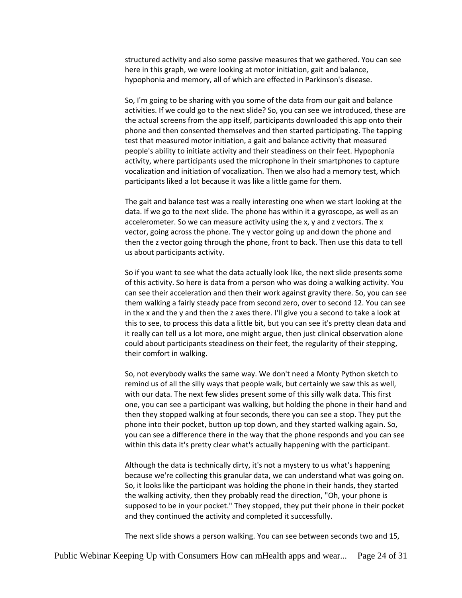structured activity and also some passive measures that we gathered. You can see here in this graph, we were looking at motor initiation, gait and balance, hypophonia and memory, all of which are effected in Parkinson's disease.

So, I'm going to be sharing with you some of the data from our gait and balance activities. If we could go to the next slide? So, you can see we introduced, these are the actual screens from the app itself, participants downloaded this app onto their phone and then consented themselves and then started participating. The tapping test that measured motor initiation, a gait and balance activity that measured people's ability to initiate activity and their steadiness on their feet. Hypophonia activity, where participants used the microphone in their smartphones to capture vocalization and initiation of vocalization. Then we also had a memory test, which participants liked a lot because it was like a little game for them.

The gait and balance test was a really interesting one when we start looking at the data. If we go to the next slide. The phone has within it a gyroscope, as well as an accelerometer. So we can measure activity using the x, y and z vectors. The x vector, going across the phone. The y vector going up and down the phone and then the z vector going through the phone, front to back. Then use this data to tell us about participants activity.

So if you want to see what the data actually look like, the next slide presents some of this activity. So here is data from a person who was doing a walking activity. You can see their acceleration and then their work against gravity there. So, you can see them walking a fairly steady pace from second zero, over to second 12. You can see in the x and the y and then the z axes there. I'll give you a second to take a look at this to see, to process this data a little bit, but you can see it's pretty clean data and it really can tell us a lot more, one might argue, then just clinical observation alone could about participants steadiness on their feet, the regularity of their stepping, their comfort in walking.

So, not everybody walks the same way. We don't need a Monty Python sketch to remind us of all the silly ways that people walk, but certainly we saw this as well, with our data. The next few slides present some of this silly walk data. This first one, you can see a participant was walking, but holding the phone in their hand and then they stopped walking at four seconds, there you can see a stop. They put the phone into their pocket, button up top down, and they started walking again. So, you can see a difference there in the way that the phone responds and you can see within this data it's pretty clear what's actually happening with the participant.

Although the data is technically dirty, it's not a mystery to us what's happening because we're collecting this granular data, we can understand what was going on. So, it looks like the participant was holding the phone in their hands, they started the walking activity, then they probably read the direction, "Oh, your phone is supposed to be in your pocket." They stopped, they put their phone in their pocket and they continued the activity and completed it successfully.

The next slide shows a person walking. You can see between seconds two and 15,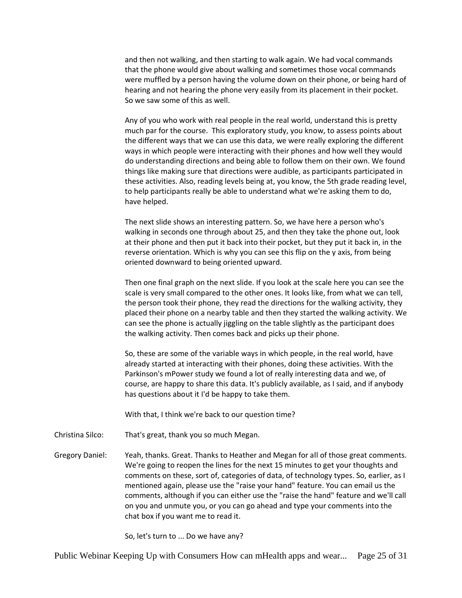and then not walking, and then starting to walk again. We had vocal commands that the phone would give about walking and sometimes those vocal commands were muffled by a person having the volume down on their phone, or being hard of hearing and not hearing the phone very easily from its placement in their pocket. So we saw some of this as well.

Any of you who work with real people in the real world, understand this is pretty much par for the course. This exploratory study, you know, to assess points about the different ways that we can use this data, we were really exploring the different ways in which people were interacting with their phones and how well they would do understanding directions and being able to follow them on their own. We found things like making sure that directions were audible, as participants participated in these activities. Also, reading levels being at, you know, the 5th grade reading level, to help participants really be able to understand what we're asking them to do, have helped.

The next slide shows an interesting pattern. So, we have here a person who's walking in seconds one through about 25, and then they take the phone out, look at their phone and then put it back into their pocket, but they put it back in, in the reverse orientation. Which is why you can see this flip on the y axis, from being oriented downward to being oriented upward.

Then one final graph on the next slide. If you look at the scale here you can see the scale is very small compared to the other ones. It looks like, from what we can tell, the person took their phone, they read the directions for the walking activity, they placed their phone on a nearby table and then they started the walking activity. We can see the phone is actually jiggling on the table slightly as the participant does the walking activity. Then comes back and picks up their phone.

So, these are some of the variable ways in which people, in the real world, have already started at interacting with their phones, doing these activities. With the Parkinson's mPower study we found a lot of really interesting data and we, of course, are happy to share this data. It's publicly available, as I said, and if anybody has questions about it I'd be happy to take them.

With that, I think we're back to our question time?

Christina Silco: That's great, thank you so much Megan.

Gregory Daniel: Yeah, thanks. Great. Thanks to Heather and Megan for all of those great comments. We're going to reopen the lines for the next 15 minutes to get your thoughts and comments on these, sort of, categories of data, of technology types. So, earlier, as I mentioned again, please use the "raise your hand" feature. You can email us the comments, although if you can either use the "raise the hand" feature and we'll call on you and unmute you, or you can go ahead and type your comments into the chat box if you want me to read it.

So, let's turn to ... Do we have any?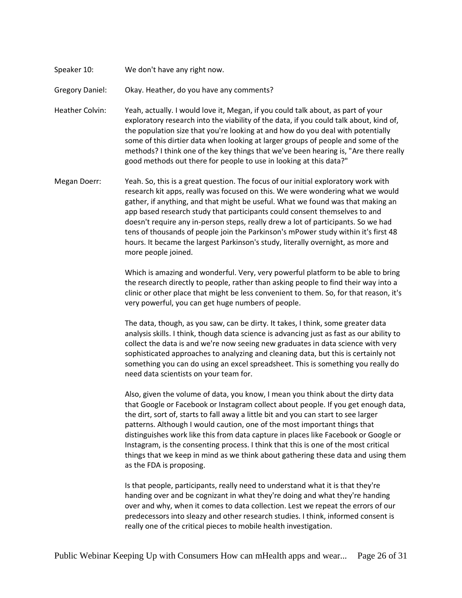Speaker 10: We don't have any right now.

Gregory Daniel: Okay. Heather, do you have any comments?

Heather Colvin: Yeah, actually. I would love it, Megan, if you could talk about, as part of your exploratory research into the viability of the data, if you could talk about, kind of, the population size that you're looking at and how do you deal with potentially some of this dirtier data when looking at larger groups of people and some of the methods? I think one of the key things that we've been hearing is, "Are there really good methods out there for people to use in looking at this data?"

Megan Doerr: Yeah. So, this is a great question. The focus of our initial exploratory work with research kit apps, really was focused on this. We were wondering what we would gather, if anything, and that might be useful. What we found was that making an app based research study that participants could consent themselves to and doesn't require any in-person steps, really drew a lot of participants. So we had tens of thousands of people join the Parkinson's mPower study within it's first 48 hours. It became the largest Parkinson's study, literally overnight, as more and more people joined.

> Which is amazing and wonderful. Very, very powerful platform to be able to bring the research directly to people, rather than asking people to find their way into a clinic or other place that might be less convenient to them. So, for that reason, it's very powerful, you can get huge numbers of people.

> The data, though, as you saw, can be dirty. It takes, I think, some greater data analysis skills. I think, though data science is advancing just as fast as our ability to collect the data is and we're now seeing new graduates in data science with very sophisticated approaches to analyzing and cleaning data, but this is certainly not something you can do using an excel spreadsheet. This is something you really do need data scientists on your team for.

Also, given the volume of data, you know, I mean you think about the dirty data that Google or Facebook or Instagram collect about people. If you get enough data, the dirt, sort of, starts to fall away a little bit and you can start to see larger patterns. Although I would caution, one of the most important things that distinguishes work like this from data capture in places like Facebook or Google or Instagram, is the consenting process. I think that this is one of the most critical things that we keep in mind as we think about gathering these data and using them as the FDA is proposing.

Is that people, participants, really need to understand what it is that they're handing over and be cognizant in what they're doing and what they're handing over and why, when it comes to data collection. Lest we repeat the errors of our predecessors into sleazy and other research studies. I think, informed consent is really one of the critical pieces to mobile health investigation.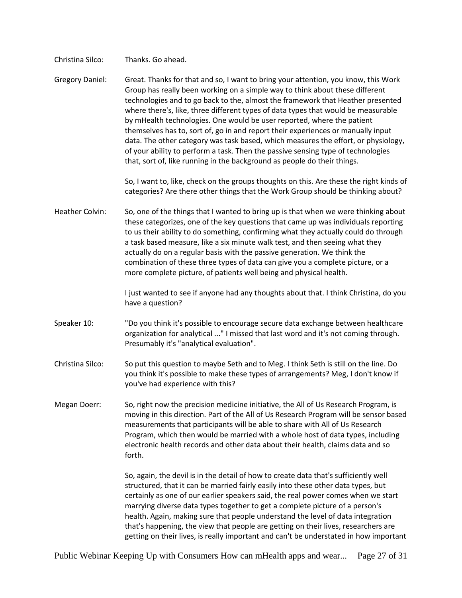Christina Silco: Thanks. Go ahead.

Gregory Daniel: Great. Thanks for that and so, I want to bring your attention, you know, this Work Group has really been working on a simple way to think about these different technologies and to go back to the, almost the framework that Heather presented where there's, like, three different types of data types that would be measurable by mHealth technologies. One would be user reported, where the patient themselves has to, sort of, go in and report their experiences or manually input data. The other category was task based, which measures the effort, or physiology, of your ability to perform a task. Then the passive sensing type of technologies that, sort of, like running in the background as people do their things.

> So, I want to, like, check on the groups thoughts on this. Are these the right kinds of categories? Are there other things that the Work Group should be thinking about?

Heather Colvin: So, one of the things that I wanted to bring up is that when we were thinking about these categorizes, one of the key questions that came up was individuals reporting to us their ability to do something, confirming what they actually could do through a task based measure, like a six minute walk test, and then seeing what they actually do on a regular basis with the passive generation. We think the combination of these three types of data can give you a complete picture, or a more complete picture, of patients well being and physical health.

> I just wanted to see if anyone had any thoughts about that. I think Christina, do you have a question?

- Speaker 10: "Do you think it's possible to encourage secure data exchange between healthcare organization for analytical ..." I missed that last word and it's not coming through. Presumably it's "analytical evaluation".
- Christina Silco: So put this question to maybe Seth and to Meg. I think Seth is still on the line. Do you think it's possible to make these types of arrangements? Meg, I don't know if you've had experience with this?
- Megan Doerr: So, right now the precision medicine initiative, the All of Us Research Program, is moving in this direction. Part of the All of Us Research Program will be sensor based measurements that participants will be able to share with All of Us Research Program, which then would be married with a whole host of data types, including electronic health records and other data about their health, claims data and so forth.

So, again, the devil is in the detail of how to create data that's sufficiently well structured, that it can be married fairly easily into these other data types, but certainly as one of our earlier speakers said, the real power comes when we start marrying diverse data types together to get a complete picture of a person's health. Again, making sure that people understand the level of data integration that's happening, the view that people are getting on their lives, researchers are getting on their lives, is really important and can't be understated in how important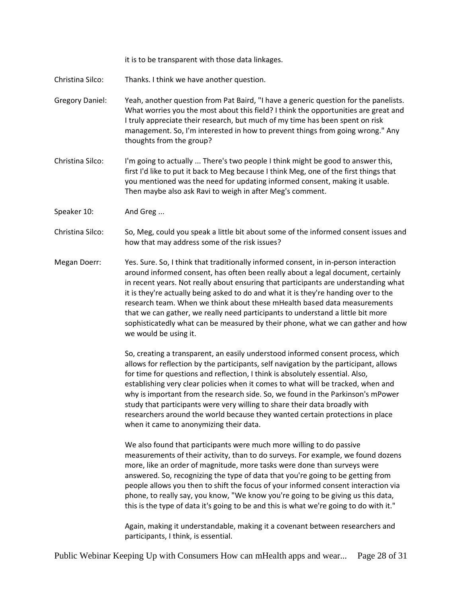it is to be transparent with those data linkages.

Christina Silco: Thanks. I think we have another question.

- Gregory Daniel: Yeah, another question from Pat Baird, "I have a generic question for the panelists. What worries you the most about this field? I think the opportunities are great and I truly appreciate their research, but much of my time has been spent on risk management. So, I'm interested in how to prevent things from going wrong." Any thoughts from the group?
- Christina Silco: I'm going to actually ... There's two people I think might be good to answer this, first I'd like to put it back to Meg because I think Meg, one of the first things that you mentioned was the need for updating informed consent, making it usable. Then maybe also ask Ravi to weigh in after Meg's comment.
- Speaker 10: And Greg ...
- Christina Silco: So, Meg, could you speak a little bit about some of the informed consent issues and how that may address some of the risk issues?
- Megan Doerr: Yes. Sure. So, I think that traditionally informed consent, in in-person interaction around informed consent, has often been really about a legal document, certainly in recent years. Not really about ensuring that participants are understanding what it is they're actually being asked to do and what it is they're handing over to the research team. When we think about these mHealth based data measurements that we can gather, we really need participants to understand a little bit more sophisticatedly what can be measured by their phone, what we can gather and how we would be using it.

So, creating a transparent, an easily understood informed consent process, which allows for reflection by the participants, self navigation by the participant, allows for time for questions and reflection, I think is absolutely essential. Also, establishing very clear policies when it comes to what will be tracked, when and why is important from the research side. So, we found in the Parkinson's mPower study that participants were very willing to share their data broadly with researchers around the world because they wanted certain protections in place when it came to anonymizing their data.

We also found that participants were much more willing to do passive measurements of their activity, than to do surveys. For example, we found dozens more, like an order of magnitude, more tasks were done than surveys were answered. So, recognizing the type of data that you're going to be getting from people allows you then to shift the focus of your informed consent interaction via phone, to really say, you know, "We know you're going to be giving us this data, this is the type of data it's going to be and this is what we're going to do with it."

Again, making it understandable, making it a covenant between researchers and participants, I think, is essential.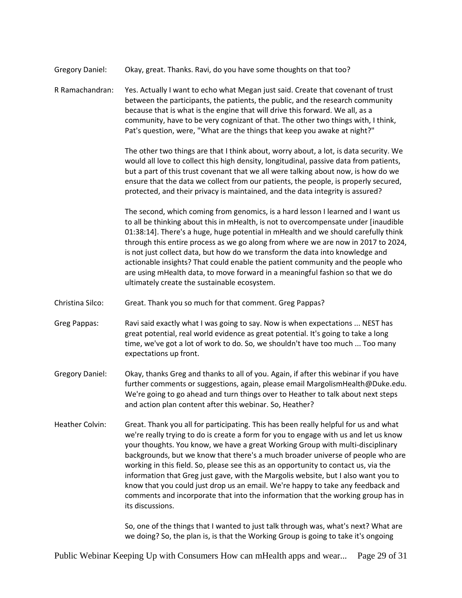Gregory Daniel: Okay, great. Thanks. Ravi, do you have some thoughts on that too?

R Ramachandran: Yes. Actually I want to echo what Megan just said. Create that covenant of trust between the participants, the patients, the public, and the research community because that is what is the engine that will drive this forward. We all, as a community, have to be very cognizant of that. The other two things with, I think, Pat's question, were, "What are the things that keep you awake at night?"

> The other two things are that I think about, worry about, a lot, is data security. We would all love to collect this high density, longitudinal, passive data from patients, but a part of this trust covenant that we all were talking about now, is how do we ensure that the data we collect from our patients, the people, is properly secured, protected, and their privacy is maintained, and the data integrity is assured?

The second, which coming from genomics, is a hard lesson I learned and I want us to all be thinking about this in mHealth, is not to overcompensate under [inaudible 01:38:14]. There's a huge, huge potential in mHealth and we should carefully think through this entire process as we go along from where we are now in 2017 to 2024, is not just collect data, but how do we transform the data into knowledge and actionable insights? That could enable the patient community and the people who are using mHealth data, to move forward in a meaningful fashion so that we do ultimately create the sustainable ecosystem.

Christina Silco: Great. Thank you so much for that comment. Greg Pappas?

Greg Pappas: Ravi said exactly what I was going to say. Now is when expectations ... NEST has great potential, real world evidence as great potential. It's going to take a long time, we've got a lot of work to do. So, we shouldn't have too much ... Too many expectations up front.

- Gregory Daniel: Okay, thanks Greg and thanks to all of you. Again, if after this webinar if you have further comments or suggestions, again, please email MargolismHealth@Duke.edu. We're going to go ahead and turn things over to Heather to talk about next steps and action plan content after this webinar. So, Heather?
- Heather Colvin: Great. Thank you all for participating. This has been really helpful for us and what we're really trying to do is create a form for you to engage with us and let us know your thoughts. You know, we have a great Working Group with multi-disciplinary backgrounds, but we know that there's a much broader universe of people who are working in this field. So, please see this as an opportunity to contact us, via the information that Greg just gave, with the Margolis website, but I also want you to know that you could just drop us an email. We're happy to take any feedback and comments and incorporate that into the information that the working group has in its discussions.

So, one of the things that I wanted to just talk through was, what's next? What are we doing? So, the plan is, is that the Working Group is going to take it's ongoing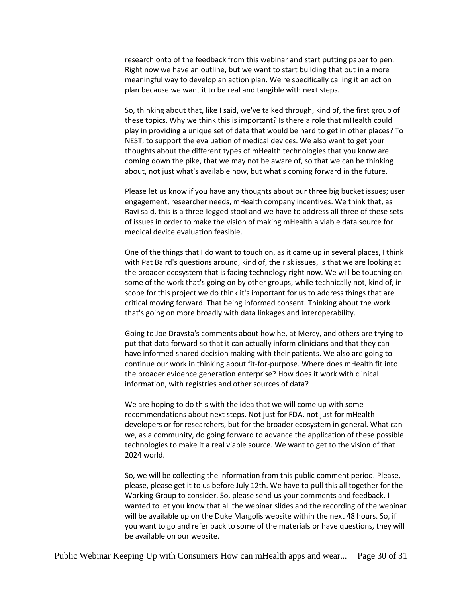research onto of the feedback from this webinar and start putting paper to pen. Right now we have an outline, but we want to start building that out in a more meaningful way to develop an action plan. We're specifically calling it an action plan because we want it to be real and tangible with next steps.

So, thinking about that, like I said, we've talked through, kind of, the first group of these topics. Why we think this is important? Is there a role that mHealth could play in providing a unique set of data that would be hard to get in other places? To NEST, to support the evaluation of medical devices. We also want to get your thoughts about the different types of mHealth technologies that you know are coming down the pike, that we may not be aware of, so that we can be thinking about, not just what's available now, but what's coming forward in the future.

Please let us know if you have any thoughts about our three big bucket issues; user engagement, researcher needs, mHealth company incentives. We think that, as Ravi said, this is a three-legged stool and we have to address all three of these sets of issues in order to make the vision of making mHealth a viable data source for medical device evaluation feasible.

One of the things that I do want to touch on, as it came up in several places, I think with Pat Baird's questions around, kind of, the risk issues, is that we are looking at the broader ecosystem that is facing technology right now. We will be touching on some of the work that's going on by other groups, while technically not, kind of, in scope for this project we do think it's important for us to address things that are critical moving forward. That being informed consent. Thinking about the work that's going on more broadly with data linkages and interoperability.

Going to Joe Dravsta's comments about how he, at Mercy, and others are trying to put that data forward so that it can actually inform clinicians and that they can have informed shared decision making with their patients. We also are going to continue our work in thinking about fit-for-purpose. Where does mHealth fit into the broader evidence generation enterprise? How does it work with clinical information, with registries and other sources of data?

We are hoping to do this with the idea that we will come up with some recommendations about next steps. Not just for FDA, not just for mHealth developers or for researchers, but for the broader ecosystem in general. What can we, as a community, do going forward to advance the application of these possible technologies to make it a real viable source. We want to get to the vision of that 2024 world.

So, we will be collecting the information from this public comment period. Please, please, please get it to us before July 12th. We have to pull this all together for the Working Group to consider. So, please send us your comments and feedback. I wanted to let you know that all the webinar slides and the recording of the webinar will be available up on the Duke Margolis website within the next 48 hours. So, if you want to go and refer back to some of the materials or have questions, they will be available on our website.